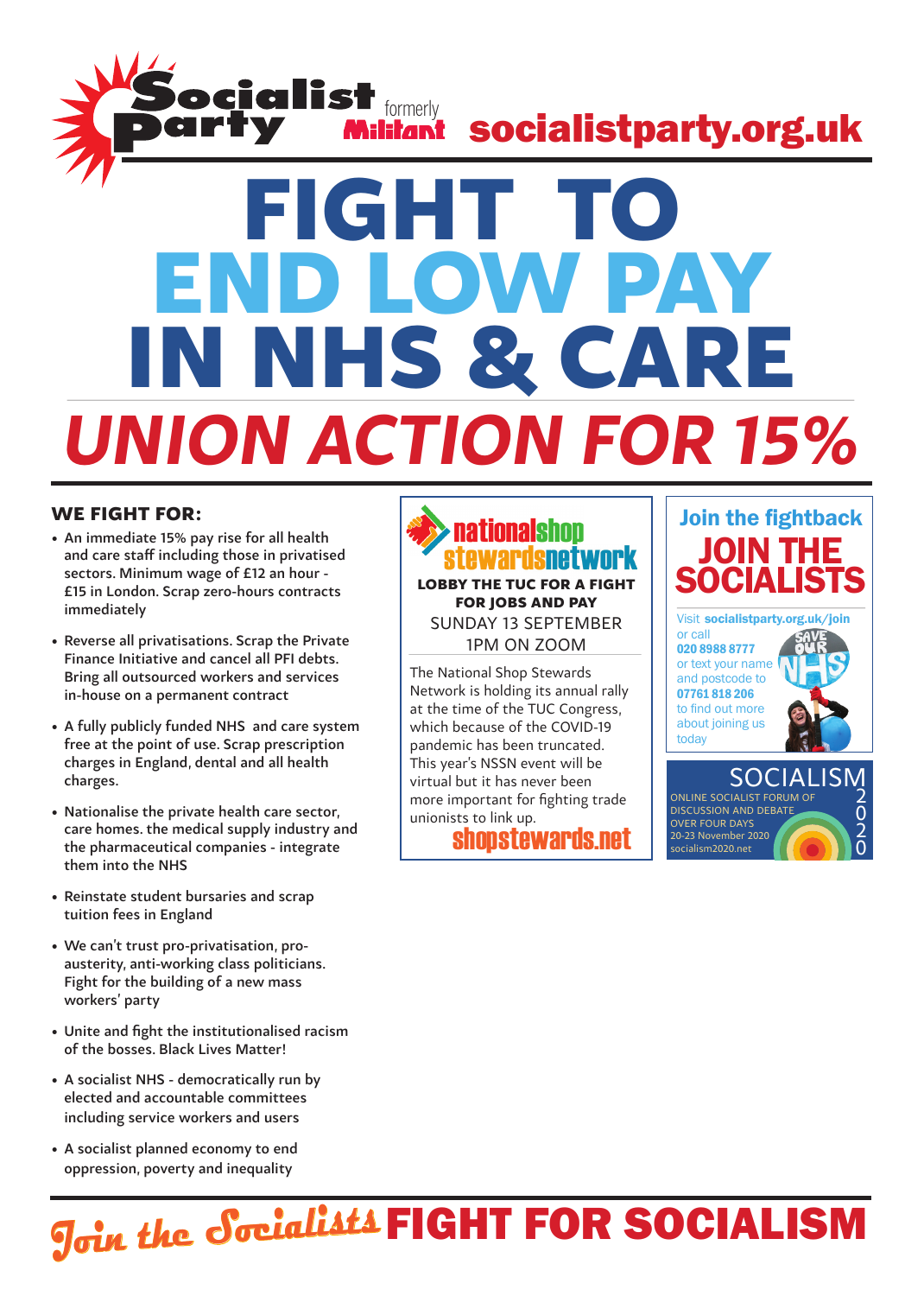

#### We fight for:

- • An immediate 15% pay rise for all health and care staff including those in privatised sectors. Minimum wage of £12 an hour - £15 in London. Scrap zero-hours contracts immediately
- • Reverse all privatisations. Scrap the Private Finance Initiative and cancel all PFI debts. Bring all outsourced workers and services in-house on a permanent contract
- • A fully publicly funded NHS and care system free at the point of use. Scrap prescription charges in England, dental and all health charges.
- Nationalise the private health care sector, care homes. the medical supply industry and the pharmaceutical companies - integrate them into the NHS
- • Reinstate student bursaries and scrap tuition fees in England
- • We can't trust pro-privatisation, proausterity, anti-working class politicians. Fight for the building of a new mass workers' party
- Unite and fight the institutionalised racism of the bosses. Black Lives Matter!
- A socialist NHS democratically run by elected and accountable committees including service workers and users
- A socialist planned economy to end oppression, poverty and inequality

### **nationalshon** Lobby the TUC for a fight for jobs and pay Sunday 13 September 1pm on zoom

The National Shop Stewards Network is holding its annual rally at the time of the TUC Congress, which because of the COVID-19 pandemic has been truncated. This year's NSSN event will be virtual but it has never been more important for fighting trade unionists to link up.





0

socialism2020.net

# **Join the Socialists FIGHT FOR SOCIALISM**